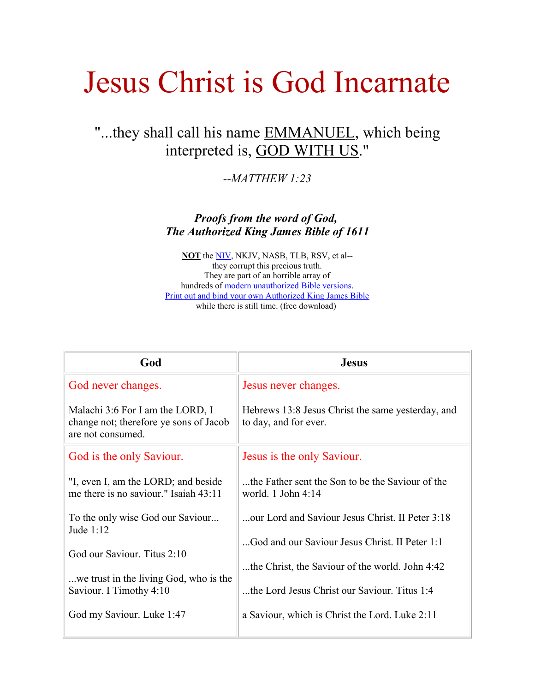# Jesus Christ is God Incarnate

## "...they shall call his name EMMANUEL, which being interpreted is, GOD WITH US."

*--MATTHEW 1:23*

*Proofs from the word of God, The Authorized King James Bible of 1611*

**NOT** the [NIV,](http://jesus-is-lord.com/nivdelet.htm) NKJV, NASB, TLB, RSV, et al- they corrupt this precious truth. They are part of an horrible array of hundreds of [modern unauthorized Bible versions.](http://jesus-is-lord.com/index.htm#modern) [Print out and bind your own Authorized King James Bible](http://www.biblicalscholarship.net/AV.htm) while there is still time. (free download)

| God                                                                                                           | <b>Jesus</b>                                                               |
|---------------------------------------------------------------------------------------------------------------|----------------------------------------------------------------------------|
| God never changes.                                                                                            | Jesus never changes.                                                       |
| Malachi 3:6 For I am the LORD, $\underline{I}$<br>change not; therefore ye sons of Jacob<br>are not consumed. | Hebrews 13:8 Jesus Christ the same yesterday, and<br>to day, and for ever. |
| God is the only Saviour.                                                                                      | Jesus is the only Saviour.                                                 |
| "I, even I, am the LORD; and beside<br>me there is no saviour." Isaiah 43:11                                  | the Father sent the Son to be the Saviour of the<br>world. $1$ John $4:14$ |
| To the only wise God our Saviour<br>Jude 1:12                                                                 | our Lord and Saviour Jesus Christ. II Peter 3:18                           |
| God our Saviour. Titus 2:10                                                                                   | God and our Saviour Jesus Christ. II Peter 1:1                             |
|                                                                                                               | the Christ, the Saviour of the world. John 4:42                            |
| we trust in the living God, who is the<br>Saviour. I Timothy 4:10                                             | the Lord Jesus Christ our Saviour. Titus 1:4                               |
| God my Saviour. Luke 1:47                                                                                     | a Saviour, which is Christ the Lord. Luke 2:11                             |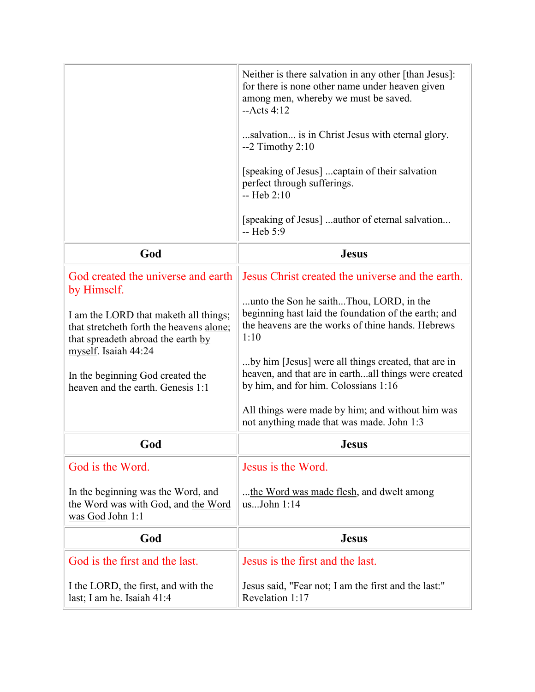|                                                                                                                                                                                                                                                                                | Neither is there salvation in any other [than Jesus]:<br>for there is none other name under heaven given<br>among men, whereby we must be saved.<br>$-Acts$ 4:12<br>salvation is in Christ Jesus with eternal glory.<br>$-2$ Timothy 2:10<br>[speaking of Jesus]  captain of their salvation<br>perfect through sufferings.<br>$-$ Heb $2:10$<br>[speaking of Jesus] author of eternal salvation<br>$-$ Heb 5:9                                                          |
|--------------------------------------------------------------------------------------------------------------------------------------------------------------------------------------------------------------------------------------------------------------------------------|--------------------------------------------------------------------------------------------------------------------------------------------------------------------------------------------------------------------------------------------------------------------------------------------------------------------------------------------------------------------------------------------------------------------------------------------------------------------------|
| God                                                                                                                                                                                                                                                                            | <b>Jesus</b>                                                                                                                                                                                                                                                                                                                                                                                                                                                             |
| God created the universe and earth<br>by Himself.<br>I am the LORD that make th all things;<br>that stretcheth forth the heavens alone;<br>that spreadeth abroad the earth by<br>myself. Isaiah 44:24<br>In the beginning God created the<br>heaven and the earth. Genesis 1:1 | Jesus Christ created the universe and the earth.<br>unto the Son he saithThou, LORD, in the<br>beginning hast laid the foundation of the earth; and<br>the heavens are the works of thine hands. Hebrews<br>1:10<br>by him [Jesus] were all things created, that are in<br>heaven, and that are in earthall things were created<br>by him, and for him. Colossians 1:16<br>All things were made by him; and without him was<br>not anything made that was made. John 1:3 |
| God                                                                                                                                                                                                                                                                            | <b>Jesus</b>                                                                                                                                                                                                                                                                                                                                                                                                                                                             |
| God is the Word.<br>In the beginning was the Word, and<br>the Word was with God, and the Word<br>was God John 1:1                                                                                                                                                              | Jesus is the Word.<br>the Word was made flesh, and dwelt among<br>usJohn 1:14                                                                                                                                                                                                                                                                                                                                                                                            |
| God                                                                                                                                                                                                                                                                            | <b>Jesus</b>                                                                                                                                                                                                                                                                                                                                                                                                                                                             |
| God is the first and the last.                                                                                                                                                                                                                                                 | Jesus is the first and the last.                                                                                                                                                                                                                                                                                                                                                                                                                                         |
| I the LORD, the first, and with the<br>last; I am he. Isaiah 41:4                                                                                                                                                                                                              | Jesus said, "Fear not; I am the first and the last:"<br>Revelation 1:17                                                                                                                                                                                                                                                                                                                                                                                                  |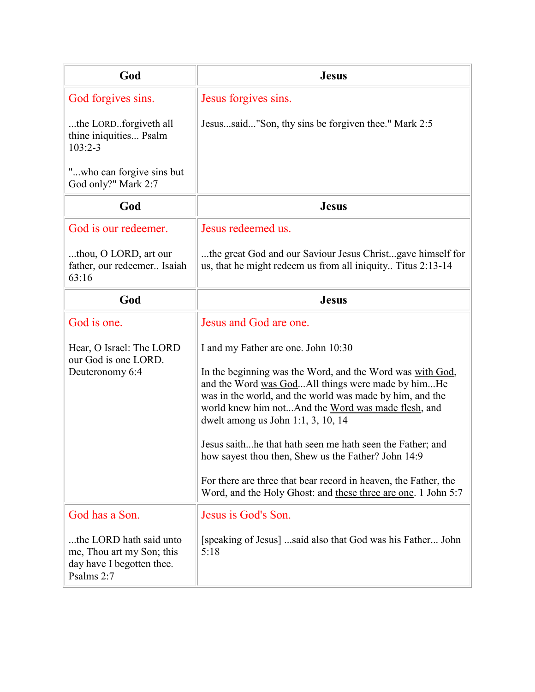| God                                                                                             | <b>Jesus</b>                                                                                                                                                                                                                                                                                                                                                                                                                                                                                                                                                          |
|-------------------------------------------------------------------------------------------------|-----------------------------------------------------------------------------------------------------------------------------------------------------------------------------------------------------------------------------------------------------------------------------------------------------------------------------------------------------------------------------------------------------------------------------------------------------------------------------------------------------------------------------------------------------------------------|
| God forgives sins.                                                                              | Jesus forgives sins.                                                                                                                                                                                                                                                                                                                                                                                                                                                                                                                                                  |
| the LORDforgiveth all<br>thine iniquities Psalm<br>$103:2 - 3$                                  | Jesussaid"Son, thy sins be forgiven thee." Mark 2:5                                                                                                                                                                                                                                                                                                                                                                                                                                                                                                                   |
| "who can forgive sins but<br>God only?" Mark 2:7                                                |                                                                                                                                                                                                                                                                                                                                                                                                                                                                                                                                                                       |
| God                                                                                             | <b>Jesus</b>                                                                                                                                                                                                                                                                                                                                                                                                                                                                                                                                                          |
| God is our redeemer.                                                                            | Jesus redeemed us.                                                                                                                                                                                                                                                                                                                                                                                                                                                                                                                                                    |
| thou, O LORD, art our<br>father, our redeemer Isaiah<br>63:16                                   | the great God and our Saviour Jesus Christgave himself for<br>us, that he might redeem us from all iniquity Titus 2:13-14                                                                                                                                                                                                                                                                                                                                                                                                                                             |
| God                                                                                             | <b>Jesus</b>                                                                                                                                                                                                                                                                                                                                                                                                                                                                                                                                                          |
| God is one.                                                                                     | Jesus and God are one.                                                                                                                                                                                                                                                                                                                                                                                                                                                                                                                                                |
| Hear, O Israel: The LORD<br>our God is one LORD.<br>Deuteronomy 6:4                             | I and my Father are one. John 10:30<br>In the beginning was the Word, and the Word was with God,<br>and the Word was GodAll things were made by himHe<br>was in the world, and the world was made by him, and the<br>world knew him notAnd the Word was made flesh, and<br>dwelt among us John 1:1, 3, 10, 14<br>Jesus saithhe that hath seen me hath seen the Father; and<br>how sayest thou then, Shew us the Father? John 14:9<br>For there are three that bear record in heaven, the Father, the<br>Word, and the Holy Ghost: and these three are one. 1 John 5:7 |
| God has a Son.                                                                                  | Jesus is God's Son.                                                                                                                                                                                                                                                                                                                                                                                                                                                                                                                                                   |
| the LORD hath said unto<br>me, Thou art my Son; this<br>day have I begotten thee.<br>Psalms 2:7 | [speaking of Jesus] said also that God was his Father John<br>5:18                                                                                                                                                                                                                                                                                                                                                                                                                                                                                                    |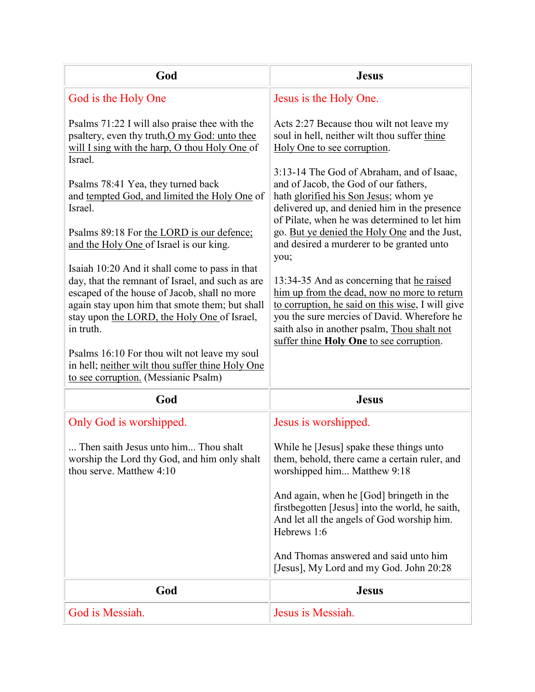| God                                                                                                                                                                                                                                                                                                                                                                                                                                                                                                                                                                                                                                                                                                                                                                 | <b>Jesus</b>                                                                                                                                                                                                                                                                                                                                                                                                                                                                                                                                                                                                                                                                                                                                          |
|---------------------------------------------------------------------------------------------------------------------------------------------------------------------------------------------------------------------------------------------------------------------------------------------------------------------------------------------------------------------------------------------------------------------------------------------------------------------------------------------------------------------------------------------------------------------------------------------------------------------------------------------------------------------------------------------------------------------------------------------------------------------|-------------------------------------------------------------------------------------------------------------------------------------------------------------------------------------------------------------------------------------------------------------------------------------------------------------------------------------------------------------------------------------------------------------------------------------------------------------------------------------------------------------------------------------------------------------------------------------------------------------------------------------------------------------------------------------------------------------------------------------------------------|
| God is the Holy One                                                                                                                                                                                                                                                                                                                                                                                                                                                                                                                                                                                                                                                                                                                                                 | Jesus is the Holy One.                                                                                                                                                                                                                                                                                                                                                                                                                                                                                                                                                                                                                                                                                                                                |
| Psalms 71:22 I will also praise thee with the<br>psaltery, even thy truth, O my God: unto thee<br>will I sing with the harp, O thou Holy One of<br>Israel.<br>Psalms 78:41 Yea, they turned back<br>and tempted God, and limited the Holy One of<br>Israel.<br>Psalms 89:18 For the LORD is our defence;<br>and the Holy One of Israel is our king.<br>Isaiah 10:20 And it shall come to pass in that<br>day, that the remnant of Israel, and such as are<br>escaped of the house of Jacob, shall no more<br>again stay upon him that smote them; but shall<br>stay upon the LORD, the Holy One of Israel,<br>in truth.<br>Psalms 16:10 For thou wilt not leave my soul<br>in hell; neither wilt thou suffer thine Holy One<br>to see corruption. (Messianic Psalm) | Acts 2:27 Because thou wilt not leave my<br>soul in hell, neither wilt thou suffer thine<br>Holy One to see corruption.<br>3:13-14 The God of Abraham, and of Isaac,<br>and of Jacob, the God of our fathers,<br>hath glorified his Son Jesus; whom ye<br>delivered up, and denied him in the presence<br>of Pilate, when he was determined to let him<br>go. But ye denied the Holy One and the Just,<br>and desired a murderer to be granted unto<br>you;<br>13:34-35 And as concerning that he raised<br>him up from the dead, now no more to return<br>to corruption, he said on this wise, I will give<br>you the sure mercies of David. Wherefore he<br>saith also in another psalm, Thou shalt not<br>suffer thine Holy One to see corruption. |
| God                                                                                                                                                                                                                                                                                                                                                                                                                                                                                                                                                                                                                                                                                                                                                                 | <b>Jesus</b>                                                                                                                                                                                                                                                                                                                                                                                                                                                                                                                                                                                                                                                                                                                                          |
| Only God is worshipped.<br>Then saith Jesus unto him Thou shalt<br>worship the Lord thy God, and him only shalt<br>thou serve. Matthew 4:10                                                                                                                                                                                                                                                                                                                                                                                                                                                                                                                                                                                                                         | Jesus is worshipped.<br>While he [Jesus] spake these things unto<br>them, behold, there came a certain ruler, and<br>worshipped him Matthew 9:18<br>And again, when he [God] bringeth in the<br>firstbegotten [Jesus] into the world, he saith,<br>And let all the angels of God worship him.<br>Hebrews 1:6<br>And Thomas answered and said unto him<br>[Jesus], My Lord and my God. John 20:28                                                                                                                                                                                                                                                                                                                                                      |
| God                                                                                                                                                                                                                                                                                                                                                                                                                                                                                                                                                                                                                                                                                                                                                                 |                                                                                                                                                                                                                                                                                                                                                                                                                                                                                                                                                                                                                                                                                                                                                       |
|                                                                                                                                                                                                                                                                                                                                                                                                                                                                                                                                                                                                                                                                                                                                                                     | <b>Jesus</b>                                                                                                                                                                                                                                                                                                                                                                                                                                                                                                                                                                                                                                                                                                                                          |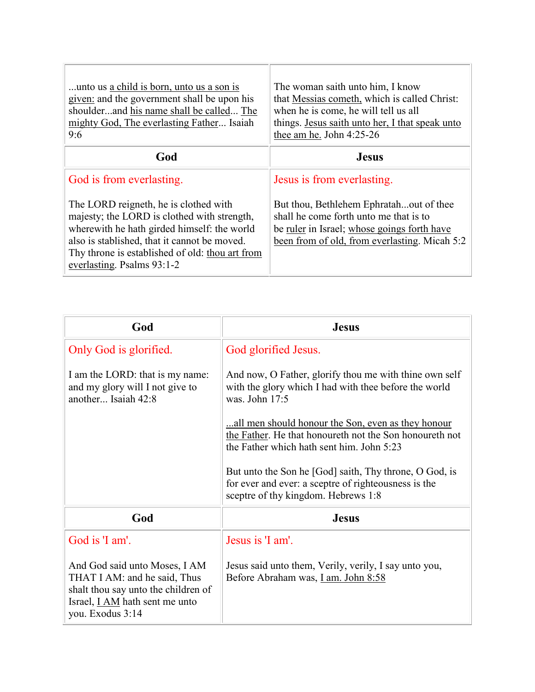| unto us a child is born, unto us a son is<br>given: and the government shall be upon his<br>shoulderand his name shall be called The<br>mighty God, The everlasting Father Isaiah<br>9:6                                                                              | The woman saith unto him, I know<br>that Messias cometh, which is called Christ:<br>when he is come, he will tell us all<br>things. Jesus saith unto her, I that speak unto<br>thee am he. John 4:25-26 |
|-----------------------------------------------------------------------------------------------------------------------------------------------------------------------------------------------------------------------------------------------------------------------|---------------------------------------------------------------------------------------------------------------------------------------------------------------------------------------------------------|
| God                                                                                                                                                                                                                                                                   | <b>Jesus</b>                                                                                                                                                                                            |
| God is from everlasting.                                                                                                                                                                                                                                              | Jesus is from everlasting.                                                                                                                                                                              |
| The LORD reigneth, he is clothed with<br>majesty; the LORD is clothed with strength,<br>where with he hath girded himself: the world<br>also is stablished, that it cannot be moved.<br>Thy throne is established of old: thou art from<br>everlasting. Psalms 93:1-2 | But thou, Bethlehem Ephratahout of thee<br>shall he come forth unto me that is to<br>be ruler in Israel; whose goings forth have<br>been from of old, from everlasting. Micah 5:2                       |

| God                                                                                                                                                               | <b>Jesus</b>                                                                                                                                               |
|-------------------------------------------------------------------------------------------------------------------------------------------------------------------|------------------------------------------------------------------------------------------------------------------------------------------------------------|
| Only God is glorified.                                                                                                                                            | God glorified Jesus.                                                                                                                                       |
| I am the LORD: that is my name:<br>and my glory will I not give to<br>another Isaiah 42:8                                                                         | And now, O Father, glorify thou me with thine own self<br>with the glory which I had with thee before the world<br>was. John 17:5                          |
|                                                                                                                                                                   | all men should honour the Son, even as they honour<br>the Father. He that honoureth not the Son honoureth not<br>the Father which hath sent him. John 5:23 |
|                                                                                                                                                                   | But unto the Son he [God] saith, Thy throne, O God, is<br>for ever and ever: a sceptre of righteousness is the<br>sceptre of thy kingdom. Hebrews 1:8      |
| God                                                                                                                                                               | <b>Jesus</b>                                                                                                                                               |
| God is 'I am'.                                                                                                                                                    | Jesus is 'I am'.                                                                                                                                           |
| And God said unto Moses, I AM<br>THAT I AM: and he said, Thus<br>shalt thou say unto the children of<br>Israel, <i>I AM</i> hath sent me unto<br>you. Exodus 3:14 | Jesus said unto them, Verily, verily, I say unto you,<br>Before Abraham was, <i>Lam. John 8:58</i>                                                         |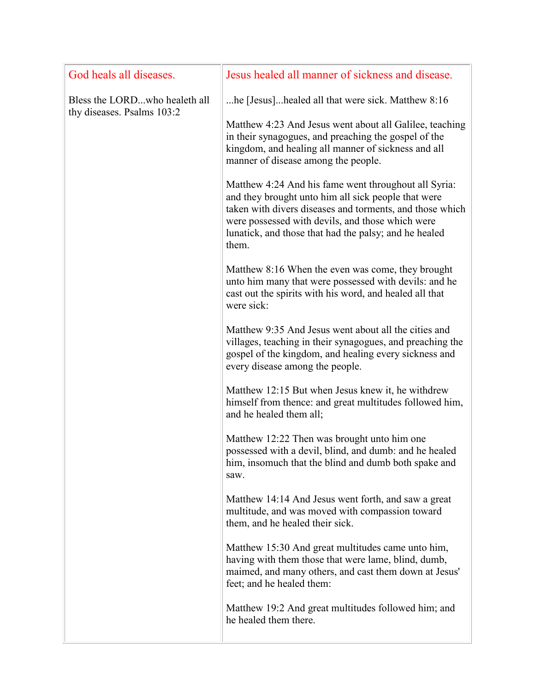| God heals all diseases.                                     | Jesus healed all manner of sickness and disease.                                                                                                                                                                                                                                              |
|-------------------------------------------------------------|-----------------------------------------------------------------------------------------------------------------------------------------------------------------------------------------------------------------------------------------------------------------------------------------------|
| Bless the LORDwho healeth all<br>thy diseases. Psalms 103:2 | he [Jesus]healed all that were sick. Matthew 8:16                                                                                                                                                                                                                                             |
|                                                             | Matthew 4:23 And Jesus went about all Galilee, teaching<br>in their synagogues, and preaching the gospel of the<br>kingdom, and healing all manner of sickness and all<br>manner of disease among the people.                                                                                 |
|                                                             | Matthew 4:24 And his fame went throughout all Syria:<br>and they brought unto him all sick people that were<br>taken with divers diseases and torments, and those which<br>were possessed with devils, and those which were<br>lunatick, and those that had the palsy; and he healed<br>them. |
|                                                             | Matthew 8:16 When the even was come, they brought<br>unto him many that were possessed with devils: and he<br>cast out the spirits with his word, and healed all that<br>were sick:                                                                                                           |
|                                                             | Matthew 9:35 And Jesus went about all the cities and<br>villages, teaching in their synagogues, and preaching the<br>gospel of the kingdom, and healing every sickness and<br>every disease among the people.                                                                                 |
|                                                             | Matthew 12:15 But when Jesus knew it, he withdrew<br>himself from thence: and great multitudes followed him,<br>and he healed them all;                                                                                                                                                       |
|                                                             | Matthew 12:22 Then was brought unto him one<br>possessed with a devil, blind, and dumb: and he healed<br>him, insomuch that the blind and dumb both spake and<br>saw.                                                                                                                         |
|                                                             | Matthew 14:14 And Jesus went forth, and saw a great<br>multitude, and was moved with compassion toward<br>them, and he healed their sick.                                                                                                                                                     |
|                                                             | Matthew 15:30 And great multitudes came unto him,<br>having with them those that were lame, blind, dumb,<br>maimed, and many others, and cast them down at Jesus'<br>feet; and he healed them:                                                                                                |
|                                                             | Matthew 19:2 And great multitudes followed him; and<br>he healed them there.                                                                                                                                                                                                                  |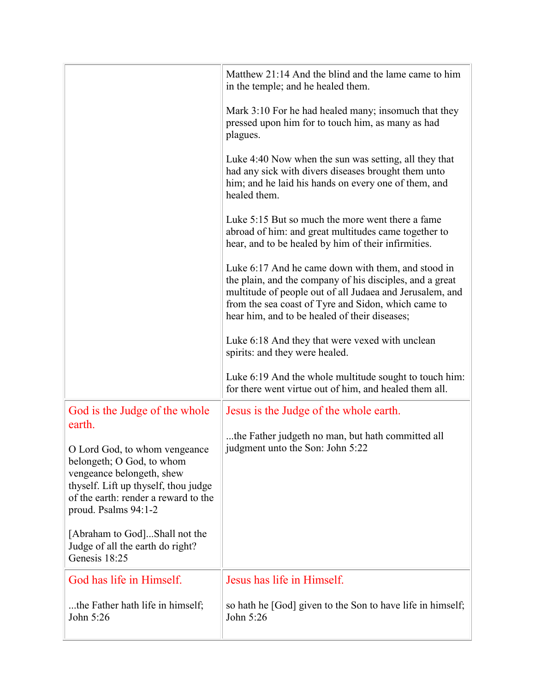|                                                                                                                                                                                                           | Matthew 21:14 And the blind and the lame came to him<br>in the temple; and he healed them.                                                                                                                                                                                         |
|-----------------------------------------------------------------------------------------------------------------------------------------------------------------------------------------------------------|------------------------------------------------------------------------------------------------------------------------------------------------------------------------------------------------------------------------------------------------------------------------------------|
|                                                                                                                                                                                                           | Mark 3:10 For he had healed many; insomuch that they<br>pressed upon him for to touch him, as many as had<br>plagues.                                                                                                                                                              |
|                                                                                                                                                                                                           | Luke 4:40 Now when the sun was setting, all they that<br>had any sick with divers diseases brought them unto<br>him; and he laid his hands on every one of them, and<br>healed them.                                                                                               |
|                                                                                                                                                                                                           | Luke 5:15 But so much the more went there a fame<br>abroad of him: and great multitudes came together to<br>hear, and to be healed by him of their infirmities.                                                                                                                    |
|                                                                                                                                                                                                           | Luke 6:17 And he came down with them, and stood in<br>the plain, and the company of his disciples, and a great<br>multitude of people out of all Judaea and Jerusalem, and<br>from the sea coast of Tyre and Sidon, which came to<br>hear him, and to be healed of their diseases; |
|                                                                                                                                                                                                           | Luke 6:18 And they that were vexed with unclean<br>spirits: and they were healed.                                                                                                                                                                                                  |
|                                                                                                                                                                                                           | Luke 6:19 And the whole multitude sought to touch him:<br>for there went virtue out of him, and healed them all.                                                                                                                                                                   |
| God is the Judge of the whole                                                                                                                                                                             | Jesus is the Judge of the whole earth.                                                                                                                                                                                                                                             |
| earth.<br>O Lord God, to whom vengeance<br>belongeth; O God, to whom<br>vengeance belongeth, shew<br>thyself. Lift up thyself, thou judge<br>of the earth: render a reward to the<br>proud. Psalms 94:1-2 | the Father judgeth no man, but hath committed all<br>judgment unto the Son: John 5:22                                                                                                                                                                                              |
| [Abraham to God]Shall not the<br>Judge of all the earth do right?<br>Genesis 18:25                                                                                                                        |                                                                                                                                                                                                                                                                                    |
| God has life in Himself.                                                                                                                                                                                  | Jesus has life in Himself.                                                                                                                                                                                                                                                         |
| the Father hath life in himself;<br>John 5:26                                                                                                                                                             | so hath he [God] given to the Son to have life in himself;<br>John 5:26                                                                                                                                                                                                            |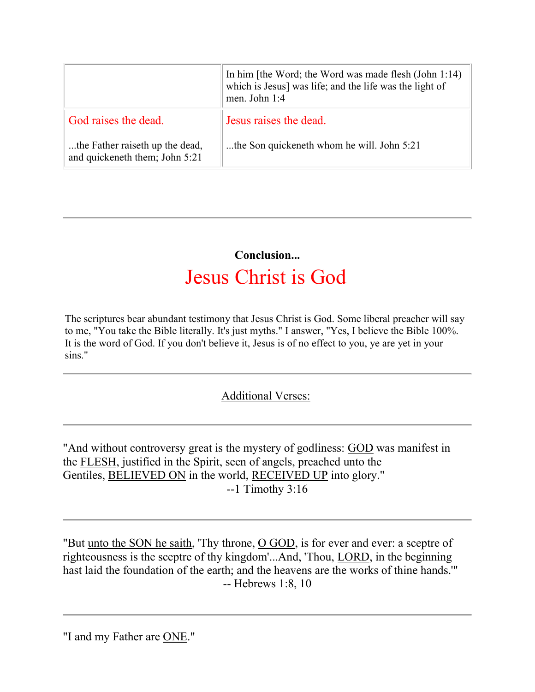|                                                                   | In him [the Word; the Word was made flesh $(John 1:14)$ ]<br>which is Jesus] was life; and the life was the light of<br>men. John 1:4 |
|-------------------------------------------------------------------|---------------------------------------------------------------------------------------------------------------------------------------|
| God raises the dead.                                              | Jesus raises the dead.                                                                                                                |
| the Father raiseth up the dead,<br>and quickeneth them; John 5:21 | the Son quickeneth whom he will. John 5:21                                                                                            |

## **Conclusion...** Jesus Christ is God

The scriptures bear abundant testimony that Jesus Christ is God. Some liberal preacher will say to me, "You take the Bible literally. It's just myths." I answer, "Yes, I believe the Bible 100%. It is the word of God. If you don't believe it, Jesus is of no effect to you, ye are yet in your sins."

#### Additional Verses:

"And without controversy great is the mystery of godliness: GOD was manifest in the FLESH, justified in the Spirit, seen of angels, preached unto the Gentiles, BELIEVED ON in the world, RECEIVED UP into glory." --1 Timothy 3:16

"But <u>unto the SON he saith</u>, 'Thy throne, <u>O GOD</u>, is for ever and ever: a sceptre of righteousness is the sceptre of thy kingdom'...And, 'Thou, LORD, in the beginning hast laid the foundation of the earth; and the heavens are the works of thine hands.'" -- Hebrews 1:8, 10

<sup>&</sup>quot;I and my Father are ONE."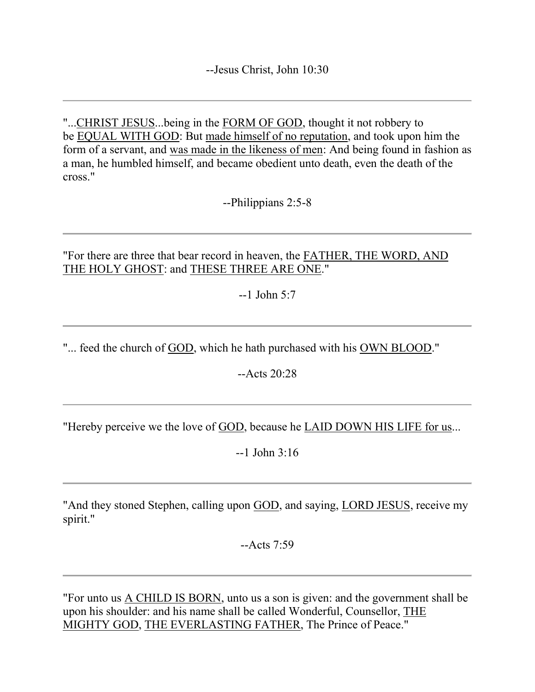"...CHRIST JESUS...being in the FORM OF GOD, thought it not robbery to be EQUAL WITH GOD: But made himself of no reputation, and took upon him the form of a servant, and was made in the likeness of men: And being found in fashion as a man, he humbled himself, and became obedient unto death, even the death of the cross."

--Philippians 2:5-8

"For there are three that bear record in heaven, the FATHER, THE WORD, AND THE HOLY GHOST: and THESE THREE ARE ONE."

--1 John 5:7

"... feed the church of GOD, which he hath purchased with his OWN BLOOD."

--Acts 20:28

"Hereby perceive we the love of GOD, because he LAID DOWN HIS LIFE for us...

 $-1$  John  $3:16$ 

"And they stoned Stephen, calling upon GOD, and saying, LORD JESUS, receive my spirit."

 $-Acts$  7:59

"For unto us A CHILD IS BORN, unto us a son is given: and the government shall be upon his shoulder: and his name shall be called Wonderful, Counsellor, THE MIGHTY GOD, THE EVERLASTING FATHER, The Prince of Peace."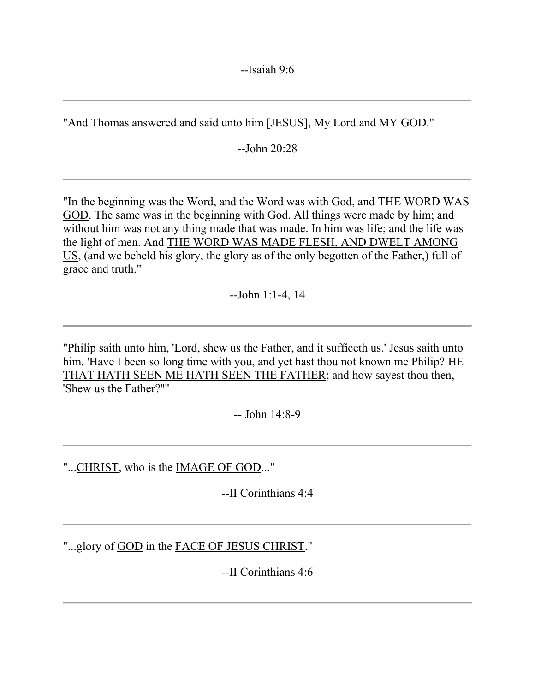--Isaiah 9:6

"And Thomas answered and said unto him [JESUS], My Lord and MY GOD."

--John 20:28

"In the beginning was the Word, and the Word was with God, and THE WORD WAS GOD. The same was in the beginning with God. All things were made by him; and without him was not any thing made that was made. In him was life; and the life was the light of men. And THE WORD WAS MADE FLESH, AND DWELT AMONG US, (and we beheld his glory, the glory as of the only begotten of the Father,) full of grace and truth."

--John 1:1-4, 14

"Philip saith unto him, 'Lord, shew us the Father, and it sufficeth us.' Jesus saith unto him, 'Have I been so long time with you, and yet hast thou not known me Philip? HE THAT HATH SEEN ME HATH SEEN THE FATHER; and how sayest thou then, 'Shew us the Father?''"

 $-$  John  $14.8-9$ 

"...CHRIST, who is the IMAGE OF GOD..."

--II Corinthians 4:4

"...glory of GOD in the FACE OF JESUS CHRIST."

--II Corinthians 4:6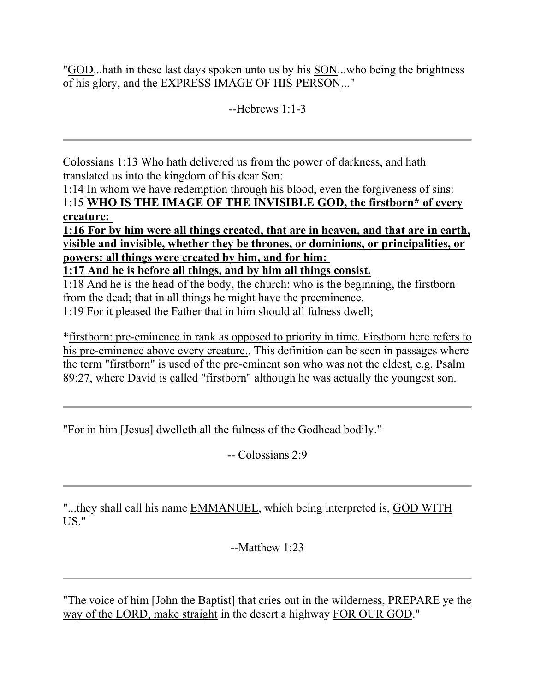"GOD...hath in these last days spoken unto us by his SON...who being the brightness of his glory, and the EXPRESS IMAGE OF HIS PERSON..."

 $-Hehrews 1:1-3$ 

Colossians 1:13 Who hath delivered us from the power of darkness, and hath translated us into the kingdom of his dear Son:

1:14 In whom we have redemption through his blood, even the forgiveness of sins: 1:15 **WHO IS THE IMAGE OF THE INVISIBLE GOD, the firstborn\* of every creature:**

**1:16 For by him were all things created, that are in heaven, and that are in earth, visible and invisible, whether they be thrones, or dominions, or principalities, or powers: all things were created by him, and for him:**

**1:17 And he is before all things, and by him all things consist.**

1:18 And he is the head of the body, the church: who is the beginning, the firstborn from the dead; that in all things he might have the preeminence.

1:19 For it pleased the Father that in him should all fulness dwell;

\*firstborn: pre-eminence in rank as opposed to priority in time. Firstborn here refers to his pre-eminence above every creature.. This definition can be seen in passages where the term "firstborn" is used of the pre-eminent son who was not the eldest, e.g. Psalm 89:27, where David is called "firstborn" although he was actually the youngest son.

"For in him [Jesus] dwelleth all the fulness of the Godhead bodily."

-- Colossians 2:9

"...they shall call his name EMMANUEL, which being interpreted is, GOD WITH US."

--Matthew 1:23

"The voice of him [John the Baptist] that cries out in the wilderness, PREPARE ye the way of the LORD, make straight in the desert a highway FOR OUR GOD."